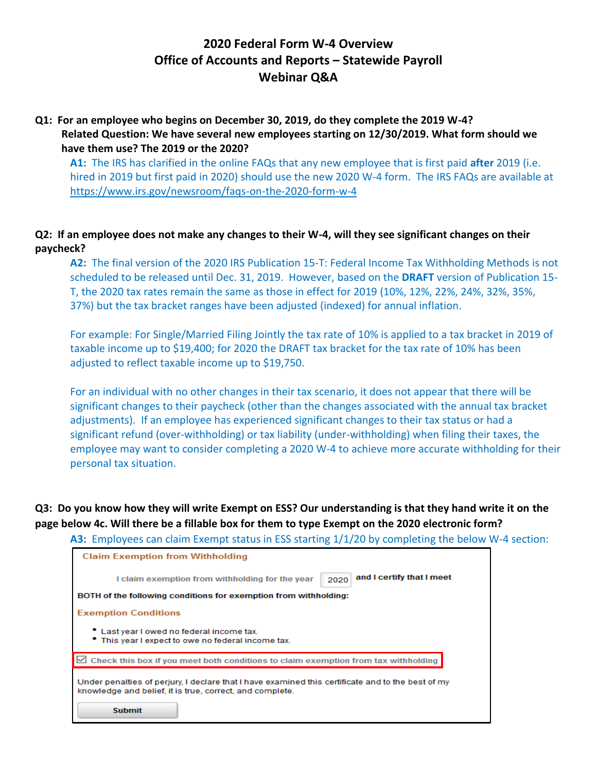# **2020 Federal Form W-4 Overview Office of Accounts and Reports – Statewide Payroll Webinar Q&A**

## **Q1: For an employee who begins on December 30, 2019, do they complete the 2019 W-4? Related Question: We have several new employees starting on 12/30/2019. What form should we have them use? The 2019 or the 2020?**

**A1:** The IRS has clarified in the online FAQs that any new employee that is first paid **after** 2019 (i.e. hired in 2019 but first paid in 2020) should use the new 2020 W-4 form. The IRS FAQs are available at <https://www.irs.gov/newsroom/faqs-on-the-2020-form-w-4>

## **Q2: If an employee does not make any changes to their W-4, will they see significant changes on their paycheck?**

**A2:** The final version of the 2020 IRS Publication 15-T: Federal Income Tax Withholding Methods is not scheduled to be released until Dec. 31, 2019. However, based on the **DRAFT** version of Publication 15- T, the 2020 tax rates remain the same as those in effect for 2019 (10%, 12%, 22%, 24%, 32%, 35%, 37%) but the tax bracket ranges have been adjusted (indexed) for annual inflation.

For example: For Single/Married Filing Jointly the tax rate of 10% is applied to a tax bracket in 2019 of taxable income up to \$19,400; for 2020 the DRAFT tax bracket for the tax rate of 10% has been adjusted to reflect taxable income up to \$19,750.

For an individual with no other changes in their tax scenario, it does not appear that there will be significant changes to their paycheck (other than the changes associated with the annual tax bracket adjustments). If an employee has experienced significant changes to their tax status or had a significant refund (over-withholding) or tax liability (under-withholding) when filing their taxes, the employee may want to consider completing a 2020 W-4 to achieve more accurate withholding for their personal tax situation.

## **Q3: Do you know how they will write Exempt on ESS? Our understanding is that they hand write it on the page below 4c. Will there be a fillable box for them to type Exempt on the 2020 electronic form?**

**A3:** Employees can claim Exempt status in ESS starting 1/1/20 by completing the below W-4 section:

| <b>Claim Exemption from Withholding</b>                                                                                                                       |
|---------------------------------------------------------------------------------------------------------------------------------------------------------------|
| and I certify that I meet<br>I claim exemption from withholding for the year<br>2020                                                                          |
| BOTH of the following conditions for exemption from withholding:                                                                                              |
| <b>Exemption Conditions</b>                                                                                                                                   |
| • Last year I owed no federal income tax.<br>• This year I expect to owe no federal income tax.                                                               |
| Check this box if you meet both conditions to claim exemption from tax withholding                                                                            |
| Under penalties of perjury, I declare that I have examined this certificate and to the best of my<br>knowledge and belief, it is true, correct, and complete. |
| <b>Submit</b>                                                                                                                                                 |